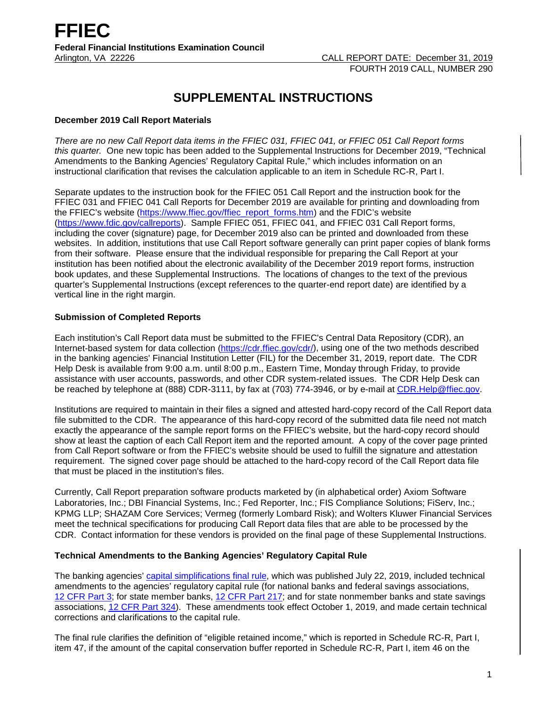# **SUPPLEMENTAL INSTRUCTIONS**

# **December 2019 Call Report Materials**

*There are no new Call Report data items in the FFIEC 031, FFIEC 041, or FFIEC 051 Call Report forms this quarter.* One new topic has been added to the Supplemental Instructions for December 2019, "Technical Amendments to the Banking Agencies' Regulatory Capital Rule," which includes information on an instructional clarification that revises the calculation applicable to an item in Schedule RC-R, Part I.

Separate updates to the instruction book for the FFIEC 051 Call Report and the instruction book for the FFIEC 031 and FFIEC 041 Call Reports for December 2019 are available for printing and downloading from the FFIEC's website [\(https://www.ffiec.gov/ffiec\\_report\\_forms.htm\)](https://www.ffiec.gov/ffiec_report_forms.htm) and the FDIC's website [\(https://www.fdic.gov/callreports\)](https://www.fdic.gov/callreports). Sample FFIEC 051, FFIEC 041, and FFIEC 031 Call Report forms, including the cover (signature) page, for December 2019 also can be printed and downloaded from these websites. In addition, institutions that use Call Report software generally can print paper copies of blank forms from their software. Please ensure that the individual responsible for preparing the Call Report at your institution has been notified about the electronic availability of the December 2019 report forms, instruction book updates, and these Supplemental Instructions. The locations of changes to the text of the previous quarter's Supplemental Instructions (except references to the quarter-end report date) are identified by a vertical line in the right margin.

# **Submission of Completed Reports**

Each institution's Call Report data must be submitted to the FFIEC's Central Data Repository (CDR), an Internet-based system for data collection [\(https://cdr.ffiec.gov/cdr/\)](https://cdr.ffiec.gov/cdr/), using one of the two methods described in the banking agencies' Financial Institution Letter (FIL) for the December 31, 2019, report date. The CDR Help Desk is available from 9:00 a.m. until 8:00 p.m., Eastern Time, Monday through Friday, to provide assistance with user accounts, passwords, and other CDR system-related issues. The CDR Help Desk can be reached by telephone at (888) CDR-3111, by fax at (703) 774-3946, or by e-mail at [CDR.Help@ffiec.gov.](mailto:CDR.Help@ffiec.gov)

Institutions are required to maintain in their files a signed and attested hard-copy record of the Call Report data file submitted to the CDR. The appearance of this hard-copy record of the submitted data file need not match exactly the appearance of the sample report forms on the FFIEC's website, but the hard-copy record should show at least the caption of each Call Report item and the reported amount. A copy of the cover page printed from Call Report software or from the FFIEC's website should be used to fulfill the signature and attestation requirement. The signed cover page should be attached to the hard-copy record of the Call Report data file that must be placed in the institution's files.

Currently, Call Report preparation software products marketed by (in alphabetical order) Axiom Software Laboratories, Inc.; DBI Financial Systems, Inc.; Fed Reporter, Inc.; FIS Compliance Solutions; FiServ, Inc.; KPMG LLP; SHAZAM Core Services; Vermeg (formerly Lombard Risk); and Wolters Kluwer Financial Services meet the technical specifications for producing Call Report data files that are able to be processed by the CDR. Contact information for these vendors is provided on the final page of these Supplemental Instructions.

## **Technical Amendments to the Banking Agencies' Regulatory Capital Rule**

The banking agencies' [capital simplifications final rule,](https://www.govinfo.gov/content/pkg/FR-2019-07-22/pdf/2019-15131.pdf) which was published July 22, 2019, included technical amendments to the agencies' regulatory capital rule (for national banks and federal savings associations, 12 [CFR Part 3;](https://www.ecfr.gov/cgi-bin/text-idx?SID=6a4386753d17214d1170526af6423e67&mc=true&node=pt12.1.3&rgn=div5) for state member banks, [12 CFR Part 217;](https://www.ecfr.gov/cgi-bin/text-idx?SID=6a4386753d17214d1170526af6423e67&mc=true&node=pt12.2.217&rgn=div5) and for state nonmember banks and state savings associations, [12 CFR Part 324\)](https://www.ecfr.gov/cgi-bin/text-idx?SID=6a4386753d17214d1170526af6423e67&mc=true&node=pt12.5.324&rgn=div5). These amendments took effect October 1, 2019, and made certain technical corrections and clarifications to the capital rule.

The final rule clarifies the definition of "eligible retained income," which is reported in Schedule RC-R, Part I, item 47, if the amount of the capital conservation buffer reported in Schedule RC-R, Part I, item 46 on the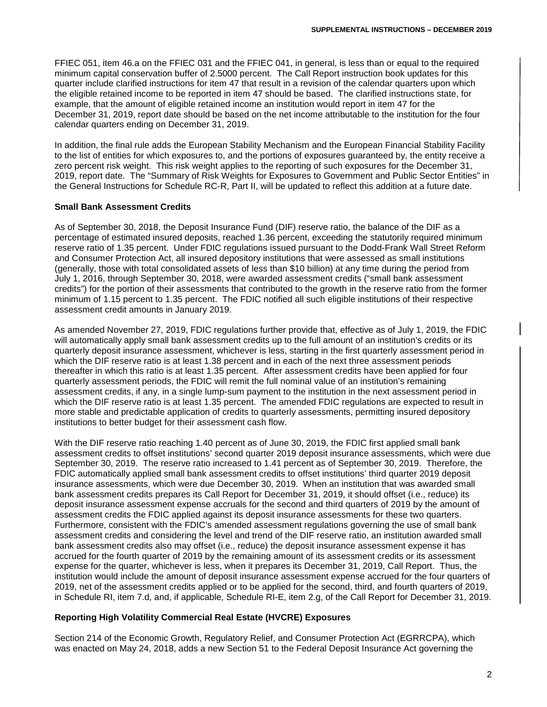FFIEC 051, item 46.a on the FFIEC 031 and the FFIEC 041, in general, is less than or equal to the required minimum capital conservation buffer of 2.5000 percent. The Call Report instruction book updates for this quarter include clarified instructions for item 47 that result in a revision of the calendar quarters upon which the eligible retained income to be reported in item 47 should be based. The clarified instructions state, for example, that the amount of eligible retained income an institution would report in item 47 for the December 31, 2019, report date should be based on the net income attributable to the institution for the four calendar quarters ending on December 31, 2019.

In addition, the final rule adds the European Stability Mechanism and the European Financial Stability Facility to the list of entities for which exposures to, and the portions of exposures guaranteed by, the entity receive a zero percent risk weight. This risk weight applies to the reporting of such exposures for the December 31, 2019, report date. The "Summary of Risk Weights for Exposures to Government and Public Sector Entities" in the General Instructions for Schedule RC-R, Part II, will be updated to reflect this addition at a future date.

# **Small Bank Assessment Credits**

As of September 30, 2018, the Deposit Insurance Fund (DIF) reserve ratio, the balance of the DIF as a percentage of estimated insured deposits, reached 1.36 percent, exceeding the statutorily required minimum reserve ratio of 1.35 percent. Under FDIC regulations issued pursuant to the Dodd-Frank Wall Street Reform and Consumer Protection Act, all insured depository institutions that were assessed as small institutions (generally, those with total consolidated assets of less than \$10 billion) at any time during the period from July 1, 2016, through September 30, 2018, were awarded assessment credits ("small bank assessment credits") for the portion of their assessments that contributed to the growth in the reserve ratio from the former minimum of 1.15 percent to 1.35 percent. The FDIC notified all such eligible institutions of their respective assessment credit amounts in January 2019.

As amended November 27, 2019, FDIC regulations further provide that, effective as of July 1, 2019, the FDIC will automatically apply small bank assessment credits up to the full amount of an institution's credits or its quarterly deposit insurance assessment, whichever is less, starting in the first quarterly assessment period in which the DIF reserve ratio is at least 1.38 percent and in each of the next three assessment periods thereafter in which this ratio is at least 1.35 percent. After assessment credits have been applied for four quarterly assessment periods, the FDIC will remit the full nominal value of an institution's remaining assessment credits, if any, in a single lump-sum payment to the institution in the next assessment period in which the DIF reserve ratio is at least 1.35 percent. The amended FDIC regulations are expected to result in more stable and predictable application of credits to quarterly assessments, permitting insured depository institutions to better budget for their assessment cash flow.

With the DIF reserve ratio reaching 1.40 percent as of June 30, 2019, the FDIC first applied small bank assessment credits to offset institutions' second quarter 2019 deposit insurance assessments, which were due September 30, 2019. The reserve ratio increased to 1.41 percent as of September 30, 2019. Therefore, the FDIC automatically applied small bank assessment credits to offset institutions' third quarter 2019 deposit insurance assessments, which were due December 30, 2019. When an institution that was awarded small bank assessment credits prepares its Call Report for December 31, 2019, it should offset (i.e., reduce) its deposit insurance assessment expense accruals for the second and third quarters of 2019 by the amount of assessment credits the FDIC applied against its deposit insurance assessments for these two quarters. Furthermore, consistent with the FDIC's amended assessment regulations governing the use of small bank assessment credits and considering the level and trend of the DIF reserve ratio, an institution awarded small bank assessment credits also may offset (i.e., reduce) the deposit insurance assessment expense it has accrued for the fourth quarter of 2019 by the remaining amount of its assessment credits or its assessment expense for the quarter, whichever is less, when it prepares its December 31, 2019, Call Report. Thus, the institution would include the amount of deposit insurance assessment expense accrued for the four quarters of 2019, net of the assessment credits applied or to be applied for the second, third, and fourth quarters of 2019, in Schedule RI, item 7.d, and, if applicable, Schedule RI-E, item 2.g, of the Call Report for December 31, 2019.

## **Reporting High Volatility Commercial Real Estate (HVCRE) Exposures**

Section 214 of the Economic Growth, Regulatory Relief, and Consumer Protection Act (EGRRCPA), which was enacted on May 24, 2018, adds a new Section 51 to the Federal Deposit Insurance Act governing the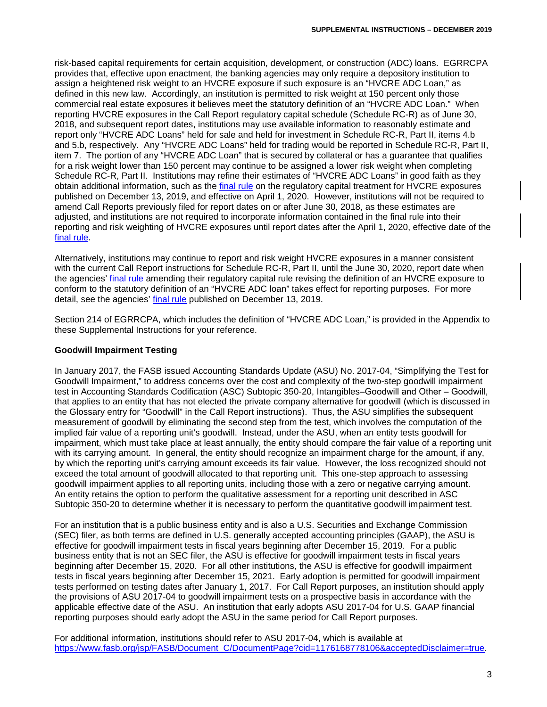risk-based capital requirements for certain acquisition, development, or construction (ADC) loans. EGRRCPA provides that, effective upon enactment, the banking agencies may only require a depository institution to assign a heightened risk weight to an HVCRE exposure if such exposure is an "HVCRE ADC Loan," as defined in this new law. Accordingly, an institution is permitted to risk weight at 150 percent only those commercial real estate exposures it believes meet the statutory definition of an "HVCRE ADC Loan." When reporting HVCRE exposures in the Call Report regulatory capital schedule (Schedule RC-R) as of June 30, 2018, and subsequent report dates, institutions may use available information to reasonably estimate and report only "HVCRE ADC Loans" held for sale and held for investment in Schedule RC-R, Part II, items 4.b and 5.b, respectively. Any "HVCRE ADC Loans" held for trading would be reported in Schedule RC-R, Part II, item 7. The portion of any "HVCRE ADC Loan" that is secured by collateral or has a guarantee that qualifies for a risk weight lower than 150 percent may continue to be assigned a lower risk weight when completing Schedule RC-R, Part II. Institutions may refine their estimates of "HVCRE ADC Loans" in good faith as they obtain additional information, such as the [final rule](https://www.govinfo.gov/content/pkg/FR-2019-12-13/pdf/2019-26544.pdf) on the regulatory capital treatment for HVCRE exposures published on December 13, 2019, and effective on April 1, 2020. However, institutions will not be required to amend Call Reports previously filed for report dates on or after June 30, 2018, as these estimates are adjusted, and institutions are not required to incorporate information contained in the final rule into their reporting and risk weighting of HVCRE exposures until report dates after the April 1, 2020, effective date of the [final rule.](https://www.govinfo.gov/content/pkg/FR-2019-12-13/pdf/2019-26544.pdf)

Alternatively, institutions may continue to report and risk weight HVCRE exposures in a manner consistent with the current Call Report instructions for Schedule RC-R, Part II, until the June 30, 2020, report date when the agencies' [final rule](https://www.govinfo.gov/content/pkg/FR-2019-12-13/pdf/2019-26544.pdf) amending their regulatory capital rule revising the definition of an HVCRE exposure to conform to the statutory definition of an "HVCRE ADC loan" takes effect for reporting purposes. For more detail, see the agencies' [final rule](https://www.govinfo.gov/content/pkg/FR-2019-12-13/pdf/2019-26544.pdf) published on December 13, 2019.

Section 214 of EGRRCPA, which includes the definition of "HVCRE ADC Loan," is provided in the Appendix to these Supplemental Instructions for your reference.

# **Goodwill Impairment Testing**

In January 2017, the FASB issued Accounting Standards Update (ASU) No. 2017-04, "Simplifying the Test for Goodwill Impairment," to address concerns over the cost and complexity of the two-step goodwill impairment test in Accounting Standards Codification (ASC) Subtopic 350-20, Intangibles–Goodwill and Other – Goodwill, that applies to an entity that has not elected the private company alternative for goodwill (which is discussed in the Glossary entry for "Goodwill" in the Call Report instructions). Thus, the ASU simplifies the subsequent measurement of goodwill by eliminating the second step from the test, which involves the computation of the implied fair value of a reporting unit's goodwill. Instead, under the ASU, when an entity tests goodwill for impairment, which must take place at least annually, the entity should compare the fair value of a reporting unit with its carrying amount. In general, the entity should recognize an impairment charge for the amount, if any, by which the reporting unit's carrying amount exceeds its fair value. However, the loss recognized should not exceed the total amount of goodwill allocated to that reporting unit. This one-step approach to assessing goodwill impairment applies to all reporting units, including those with a zero or negative carrying amount. An entity retains the option to perform the qualitative assessment for a reporting unit described in ASC Subtopic 350-20 to determine whether it is necessary to perform the quantitative goodwill impairment test.

For an institution that is a public business entity and is also a U.S. Securities and Exchange Commission (SEC) filer, as both terms are defined in U.S. generally accepted accounting principles (GAAP), the ASU is effective for goodwill impairment tests in fiscal years beginning after December 15, 2019. For a public business entity that is not an SEC filer, the ASU is effective for goodwill impairment tests in fiscal years beginning after December 15, 2020. For all other institutions, the ASU is effective for goodwill impairment tests in fiscal years beginning after December 15, 2021. Early adoption is permitted for goodwill impairment tests performed on testing dates after January 1, 2017. For Call Report purposes, an institution should apply the provisions of ASU 2017-04 to goodwill impairment tests on a prospective basis in accordance with the applicable effective date of the ASU. An institution that early adopts ASU 2017-04 for U.S. GAAP financial reporting purposes should early adopt the ASU in the same period for Call Report purposes.

For additional information, institutions should refer to ASU 2017-04, which is available at [https://www.fasb.org/jsp/FASB/Document\\_C/DocumentPage?cid=1176168778106&acceptedDisclaimer=true.](https://www.fasb.org/jsp/FASB/Document_C/DocumentPage?cid=1176168778106&acceptedDisclaimer=true)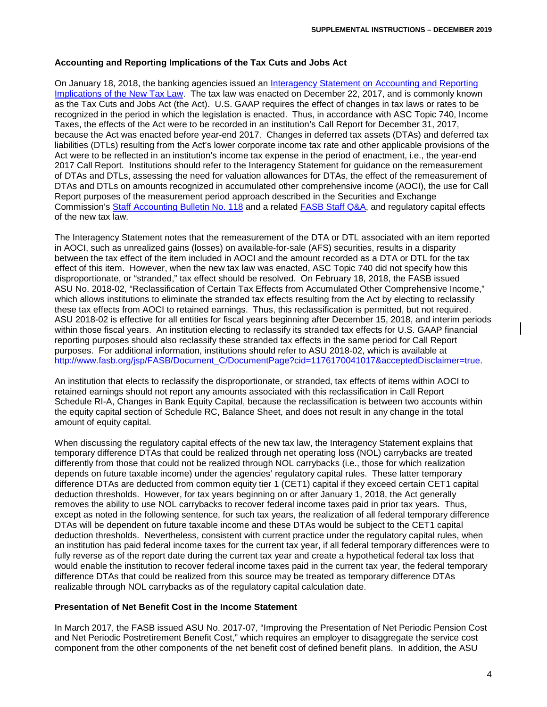# **Accounting and Reporting Implications of the Tax Cuts and Jobs Act**

On January 18, 2018, the banking agencies issued an [Interagency Statement on Accounting and Reporting](https://www.fdic.gov/news/news/financial/2018/fil18006a.pdf)  [Implications of the New Tax Law.](https://www.fdic.gov/news/news/financial/2018/fil18006a.pdf) The tax law was enacted on December 22, 2017, and is commonly known as the Tax Cuts and Jobs Act (the Act). U.S. GAAP requires the effect of changes in tax laws or rates to be recognized in the period in which the legislation is enacted. Thus, in accordance with ASC Topic 740, Income Taxes, the effects of the Act were to be recorded in an institution's Call Report for December 31, 2017, because the Act was enacted before year-end 2017. Changes in deferred tax assets (DTAs) and deferred tax liabilities (DTLs) resulting from the Act's lower corporate income tax rate and other applicable provisions of the Act were to be reflected in an institution's income tax expense in the period of enactment, i.e., the year-end 2017 Call Report. Institutions should refer to the Interagency Statement for guidance on the remeasurement of DTAs and DTLs, assessing the need for valuation allowances for DTAs, the effect of the remeasurement of DTAs and DTLs on amounts recognized in accumulated other comprehensive income (AOCI), the use for Call Report purposes of the measurement period approach described in the Securities and Exchange Commission's [Staff Accounting Bulletin No. 118](https://www.sec.gov/interps/account/staff-accounting-bulletin-118.htm) and a related FASB [Staff Q&A,](http://www.fasb.org/cs/ContentServer?c=Document_C&cid=1176169782120&d=&pagename=FASB%2FDocument_C%2FDocumentPage) and regulatory capital effects of the new tax law.

The Interagency Statement notes that the remeasurement of the DTA or DTL associated with an item reported in AOCI, such as unrealized gains (losses) on available-for-sale (AFS) securities, results in a disparity between the tax effect of the item included in AOCI and the amount recorded as a DTA or DTL for the tax effect of this item. However, when the new tax law was enacted, ASC Topic 740 did not specify how this disproportionate, or "stranded," tax effect should be resolved. On February 18, 2018, the FASB issued ASU No. 2018-02, "Reclassification of Certain Tax Effects from Accumulated Other Comprehensive Income," which allows institutions to eliminate the stranded tax effects resulting from the Act by electing to reclassify these tax effects from AOCI to retained earnings. Thus, this reclassification is permitted, but not required. ASU 2018-02 is effective for all entities for fiscal years beginning after December 15, 2018, and interim periods within those fiscal years. An institution electing to reclassify its stranded tax effects for U.S. GAAP financial reporting purposes should also reclassify these stranded tax effects in the same period for Call Report purposes. For additional information, institutions should refer to ASU 2018-02, which is available at [http://www.fasb.org/jsp/FASB/Document\\_C/DocumentPage?cid=1176170041017&acceptedDisclaimer=true.](http://www.fasb.org/jsp/FASB/Document_C/DocumentPage?cid=1176170041017&acceptedDisclaimer=true)

An institution that elects to reclassify the disproportionate, or stranded, tax effects of items within AOCI to retained earnings should not report any amounts associated with this reclassification in Call Report Schedule RI-A, Changes in Bank Equity Capital, because the reclassification is between two accounts within the equity capital section of Schedule RC, Balance Sheet, and does not result in any change in the total amount of equity capital.

When discussing the regulatory capital effects of the new tax law, the Interagency Statement explains that temporary difference DTAs that could be realized through net operating loss (NOL) carrybacks are treated differently from those that could not be realized through NOL carrybacks (i.e., those for which realization depends on future taxable income) under the agencies' regulatory capital rules. These latter temporary difference DTAs are deducted from common equity tier 1 (CET1) capital if they exceed certain CET1 capital deduction thresholds. However, for tax years beginning on or after January 1, 2018, the Act generally removes the ability to use NOL carrybacks to recover federal income taxes paid in prior tax years. Thus, except as noted in the following sentence, for such tax years, the realization of all federal temporary difference DTAs will be dependent on future taxable income and these DTAs would be subject to the CET1 capital deduction thresholds. Nevertheless, consistent with current practice under the regulatory capital rules, when an institution has paid federal income taxes for the current tax year, if all federal temporary differences were to fully reverse as of the report date during the current tax year and create a hypothetical federal tax loss that would enable the institution to recover federal income taxes paid in the current tax year, the federal temporary difference DTAs that could be realized from this source may be treated as temporary difference DTAs realizable through NOL carrybacks as of the regulatory capital calculation date.

## **Presentation of Net Benefit Cost in the Income Statement**

In March 2017, the FASB issued ASU No. 2017-07, "Improving the Presentation of Net Periodic Pension Cost and Net Periodic Postretirement Benefit Cost," which requires an employer to disaggregate the service cost component from the other components of the net benefit cost of defined benefit plans. In addition, the ASU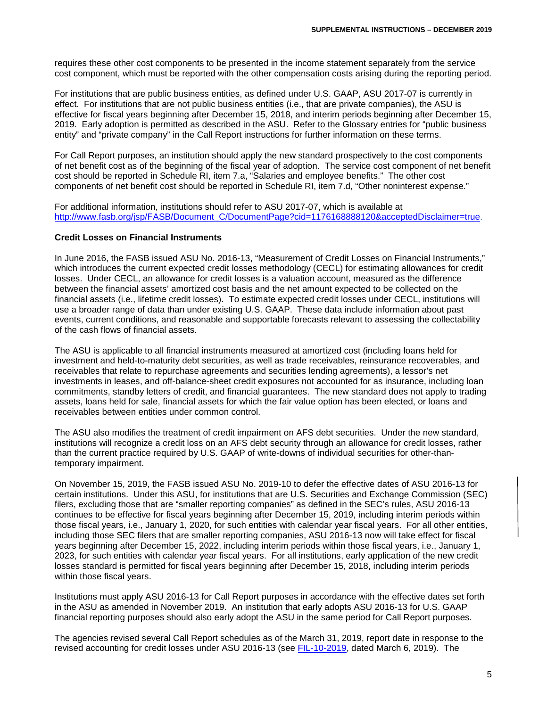requires these other cost components to be presented in the income statement separately from the service cost component, which must be reported with the other compensation costs arising during the reporting period.

For institutions that are public business entities, as defined under U.S. GAAP, ASU 2017-07 is currently in effect. For institutions that are not public business entities (i.e., that are private companies), the ASU is effective for fiscal years beginning after December 15, 2018, and interim periods beginning after December 15, 2019. Early adoption is permitted as described in the ASU. Refer to the Glossary entries for "public business entity" and "private company" in the Call Report instructions for further information on these terms.

For Call Report purposes, an institution should apply the new standard prospectively to the cost components of net benefit cost as of the beginning of the fiscal year of adoption. The service cost component of net benefit cost should be reported in Schedule RI, item 7.a, "Salaries and employee benefits." The other cost components of net benefit cost should be reported in Schedule RI, item 7.d, "Other noninterest expense."

For additional information, institutions should refer to ASU 2017-07, which is available at [http://www.fasb.org/jsp/FASB/Document\\_C/DocumentPage?cid=1176168888120&acceptedDisclaimer=true.](http://www.fasb.org/jsp/FASB/Document_C/DocumentPage?cid=1176168888120&acceptedDisclaimer=true)

#### **Credit Losses on Financial Instruments**

In June 2016, the FASB issued ASU No. 2016-13, "Measurement of Credit Losses on Financial Instruments," which introduces the current expected credit losses methodology (CECL) for estimating allowances for credit losses. Under CECL, an allowance for credit losses is a valuation account, measured as the difference between the financial assets' amortized cost basis and the net amount expected to be collected on the financial assets (i.e., lifetime credit losses). To estimate expected credit losses under CECL, institutions will use a broader range of data than under existing U.S. GAAP. These data include information about past events, current conditions, and reasonable and supportable forecasts relevant to assessing the collectability of the cash flows of financial assets.

The ASU is applicable to all financial instruments measured at amortized cost (including loans held for investment and held-to-maturity debt securities, as well as trade receivables, reinsurance recoverables, and receivables that relate to repurchase agreements and securities lending agreements), a lessor's net investments in leases, and off-balance-sheet credit exposures not accounted for as insurance, including loan commitments, standby letters of credit, and financial guarantees. The new standard does not apply to trading assets, loans held for sale, financial assets for which the fair value option has been elected, or loans and receivables between entities under common control.

The ASU also modifies the treatment of credit impairment on AFS debt securities. Under the new standard, institutions will recognize a credit loss on an AFS debt security through an allowance for credit losses, rather than the current practice required by U.S. GAAP of write-downs of individual securities for other-thantemporary impairment.

On November 15, 2019, the FASB issued ASU No. 2019-10 to defer the effective dates of ASU 2016-13 for certain institutions. Under this ASU, for institutions that are U.S. Securities and Exchange Commission (SEC) filers, excluding those that are "smaller reporting companies" as defined in the SEC's rules, ASU 2016-13 continues to be effective for fiscal years beginning after December 15, 2019, including interim periods within those fiscal years, i.e., January 1, 2020, for such entities with calendar year fiscal years. For all other entities, including those SEC filers that are smaller reporting companies, ASU 2016-13 now will take effect for fiscal years beginning after December 15, 2022, including interim periods within those fiscal years, i.e., January 1, 2023, for such entities with calendar year fiscal years. For all institutions, early application of the new credit losses standard is permitted for fiscal years beginning after December 15, 2018, including interim periods within those fiscal years.

Institutions must apply ASU 2016-13 for Call Report purposes in accordance with the effective dates set forth in the ASU as amended in November 2019. An institution that early adopts ASU 2016-13 for U.S. GAAP financial reporting purposes should also early adopt the ASU in the same period for Call Report purposes.

The agencies revised several Call Report schedules as of the March 31, 2019, report date in response to the revised accounting for credit losses under ASU 2016-13 (see [FIL-10-2019,](https://www.fdic.gov/news/news/financial/2019/fil19010.html) dated March 6, 2019). The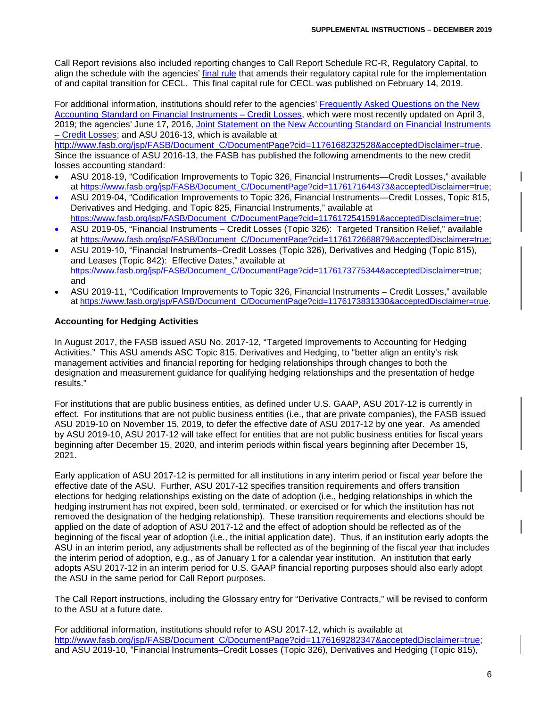Call Report revisions also included reporting changes to Call Report Schedule RC-R, Regulatory Capital, to align the schedule with the agencies' [final rule](https://www.govinfo.gov/content/pkg/FR-2019-02-14/pdf/2018-28281.pdf) that amends their regulatory capital rule for the implementation of and capital transition for CECL. This final capital rule for CECL was published on February 14, 2019.

For additional information, institutions should refer to the agencies' [Frequently Asked Questions on the New](https://www.fdic.gov/news/news/financial/2019/fil19020a.pdf)  [Accounting Standard on Financial Instruments –](https://www.fdic.gov/news/news/financial/2019/fil19020a.pdf) Credit Losses, which were most recently updated on April 3, 2019; the agencies' June 17, 2016, Joint Statement on the New Accounting Standard on Financial Instruments – [Credit Losses;](https://www.federalreserve.gov/newsevents/pressreleases/files/bcreg20160617b1.pdf) and ASU 2016-13, which is available at

[http://www.fasb.org/jsp/FASB/Document\\_C/DocumentPage?cid=1176168232528&acceptedDisclaimer=true.](http://www.fasb.org/jsp/FASB/Document_C/DocumentPage?cid=1176168232528&acceptedDisclaimer=true) Since the issuance of ASU 2016-13, the FASB has published the following amendments to the new credit losses accounting standard:

- ASU 2018-19, "Codification Improvements to Topic 326, Financial Instruments—Credit Losses," available at [https://www.fasb.org/jsp/FASB/Document\\_C/DocumentPage?cid=1176171644373&acceptedDisclaimer=true;](https://www.fasb.org/jsp/FASB/Document_C/DocumentPage?cid=1176171644373&acceptedDisclaimer=true)
- ASU 2019-04, "Codification Improvements to Topic 326, Financial Instruments—Credit Losses, Topic 815, Derivatives and Hedging, and Topic 825, Financial Instruments," available at [https://www.fasb.org/jsp/FASB/Document\\_C/DocumentPage?cid=1176172541591&acceptedDisclaimer=true;](https://www.fasb.org/jsp/FASB/Document_C/DocumentPage?cid=1176172541591&acceptedDisclaimer=true)
- ASU 2019-05, "Financial Instruments Credit Losses (Topic 326): Targeted Transition Relief," available at [https://www.fasb.org/jsp/FASB/Document\\_C/DocumentPage?cid=1176172668879&acceptedDisclaimer=true;](https://www.fasb.org/jsp/FASB/Document_C/DocumentPage?cid=1176172668879&acceptedDisclaimer=true)
- ASU 2019-10, "Financial Instruments–Credit Losses (Topic 326), Derivatives and Hedging (Topic 815), and Leases (Topic 842): Effective Dates," available at [https://www.fasb.org/jsp/FASB/Document\\_C/DocumentPage?cid=1176173775344&acceptedDisclaimer=true;](https://www.fasb.org/jsp/FASB/Document_C/DocumentPage?cid=1176173775344&acceptedDisclaimer=true) and
- ASU 2019-11, "Codification Improvements to Topic 326, Financial Instruments Credit Losses," available at [https://www.fasb.org/jsp/FASB/Document\\_C/DocumentPage?cid=1176173831330&acceptedDisclaimer=true.](https://www.fasb.org/jsp/FASB/Document_C/DocumentPage?cid=1176173831330&acceptedDisclaimer=true)

# **Accounting for Hedging Activities**

In August 2017, the FASB issued ASU No. 2017-12, "Targeted Improvements to Accounting for Hedging Activities." This ASU amends ASC Topic 815, Derivatives and Hedging, to "better align an entity's risk management activities and financial reporting for hedging relationships through changes to both the designation and measurement guidance for qualifying hedging relationships and the presentation of hedge results."

For institutions that are public business entities, as defined under U.S. GAAP, ASU 2017-12 is currently in effect. For institutions that are not public business entities (i.e., that are private companies), the FASB issued ASU 2019-10 on November 15, 2019, to defer the effective date of ASU 2017-12 by one year. As amended by ASU 2019-10, ASU 2017-12 will take effect for entities that are not public business entities for fiscal years beginning after December 15, 2020, and interim periods within fiscal years beginning after December 15, 2021.

Early application of ASU 2017-12 is permitted for all institutions in any interim period or fiscal year before the effective date of the ASU. Further, ASU 2017-12 specifies transition requirements and offers transition elections for hedging relationships existing on the date of adoption (i.e., hedging relationships in which the hedging instrument has not expired, been sold, terminated, or exercised or for which the institution has not removed the designation of the hedging relationship). These transition requirements and elections should be applied on the date of adoption of ASU 2017-12 and the effect of adoption should be reflected as of the beginning of the fiscal year of adoption (i.e., the initial application date). Thus, if an institution early adopts the ASU in an interim period, any adjustments shall be reflected as of the beginning of the fiscal year that includes the interim period of adoption, e.g., as of January 1 for a calendar year institution. An institution that early adopts ASU 2017-12 in an interim period for U.S. GAAP financial reporting purposes should also early adopt the ASU in the same period for Call Report purposes.

The Call Report instructions, including the Glossary entry for "Derivative Contracts," will be revised to conform to the ASU at a future date.

For additional information, institutions should refer to ASU 2017-12, which is available at [http://www.fasb.org/jsp/FASB/Document\\_C/DocumentPage?cid=1176169282347&acceptedDisclaimer=true;](http://www.fasb.org/jsp/FASB/Document_C/DocumentPage?cid=1176169282347&acceptedDisclaimer=true) and ASU 2019-10, "Financial Instruments–Credit Losses (Topic 326), Derivatives and Hedging (Topic 815),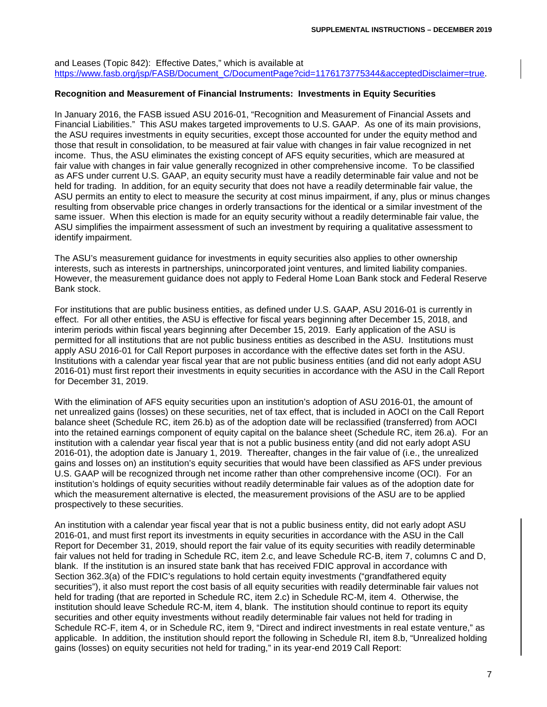and Leases (Topic 842): Effective Dates," which is available at [https://www.fasb.org/jsp/FASB/Document\\_C/DocumentPage?cid=1176173775344&acceptedDisclaimer=true.](https://www.fasb.org/jsp/FASB/Document_C/DocumentPage?cid=1176173775344&acceptedDisclaimer=true)

#### **Recognition and Measurement of Financial Instruments: Investments in Equity Securities**

In January 2016, the FASB issued ASU 2016-01, "Recognition and Measurement of Financial Assets and Financial Liabilities." This ASU makes targeted improvements to U.S. GAAP. As one of its main provisions, the ASU requires investments in equity securities, except those accounted for under the equity method and those that result in consolidation, to be measured at fair value with changes in fair value recognized in net income. Thus, the ASU eliminates the existing concept of AFS equity securities, which are measured at fair value with changes in fair value generally recognized in other comprehensive income. To be classified as AFS under current U.S. GAAP, an equity security must have a readily determinable fair value and not be held for trading. In addition, for an equity security that does not have a readily determinable fair value, the ASU permits an entity to elect to measure the security at cost minus impairment, if any, plus or minus changes resulting from observable price changes in orderly transactions for the identical or a similar investment of the same issuer. When this election is made for an equity security without a readily determinable fair value, the ASU simplifies the impairment assessment of such an investment by requiring a qualitative assessment to identify impairment.

The ASU's measurement guidance for investments in equity securities also applies to other ownership interests, such as interests in partnerships, unincorporated joint ventures, and limited liability companies. However, the measurement guidance does not apply to Federal Home Loan Bank stock and Federal Reserve Bank stock.

For institutions that are public business entities, as defined under U.S. GAAP, ASU 2016-01 is currently in effect. For all other entities, the ASU is effective for fiscal years beginning after December 15, 2018, and interim periods within fiscal years beginning after December 15, 2019. Early application of the ASU is permitted for all institutions that are not public business entities as described in the ASU. Institutions must apply ASU 2016-01 for Call Report purposes in accordance with the effective dates set forth in the ASU. Institutions with a calendar year fiscal year that are not public business entities (and did not early adopt ASU 2016-01) must first report their investments in equity securities in accordance with the ASU in the Call Report for December 31, 2019.

With the elimination of AFS equity securities upon an institution's adoption of ASU 2016-01, the amount of net unrealized gains (losses) on these securities, net of tax effect, that is included in AOCI on the Call Report balance sheet (Schedule RC, item 26.b) as of the adoption date will be reclassified (transferred) from AOCI into the retained earnings component of equity capital on the balance sheet (Schedule RC, item 26.a). For an institution with a calendar year fiscal year that is not a public business entity (and did not early adopt ASU 2016-01), the adoption date is January 1, 2019. Thereafter, changes in the fair value of (i.e., the unrealized gains and losses on) an institution's equity securities that would have been classified as AFS under previous U.S. GAAP will be recognized through net income rather than other comprehensive income (OCI). For an institution's holdings of equity securities without readily determinable fair values as of the adoption date for which the measurement alternative is elected, the measurement provisions of the ASU are to be applied prospectively to these securities.

An institution with a calendar year fiscal year that is not a public business entity, did not early adopt ASU 2016-01, and must first report its investments in equity securities in accordance with the ASU in the Call Report for December 31, 2019, should report the fair value of its equity securities with readily determinable fair values not held for trading in Schedule RC, item 2.c, and leave Schedule RC-B, item 7, columns C and D, blank. If the institution is an insured state bank that has received FDIC approval in accordance with Section 362.3(a) of the FDIC's regulations to hold certain equity investments ("grandfathered equity securities"), it also must report the cost basis of all equity securities with readily determinable fair values not held for trading (that are reported in Schedule RC, item 2.c) in Schedule RC-M, item 4. Otherwise, the institution should leave Schedule RC-M, item 4, blank. The institution should continue to report its equity securities and other equity investments without readily determinable fair values not held for trading in Schedule RC-F, item 4, or in Schedule RC, item 9, "Direct and indirect investments in real estate venture," as applicable. In addition, the institution should report the following in Schedule RI, item 8.b, "Unrealized holding gains (losses) on equity securities not held for trading," in its year-end 2019 Call Report: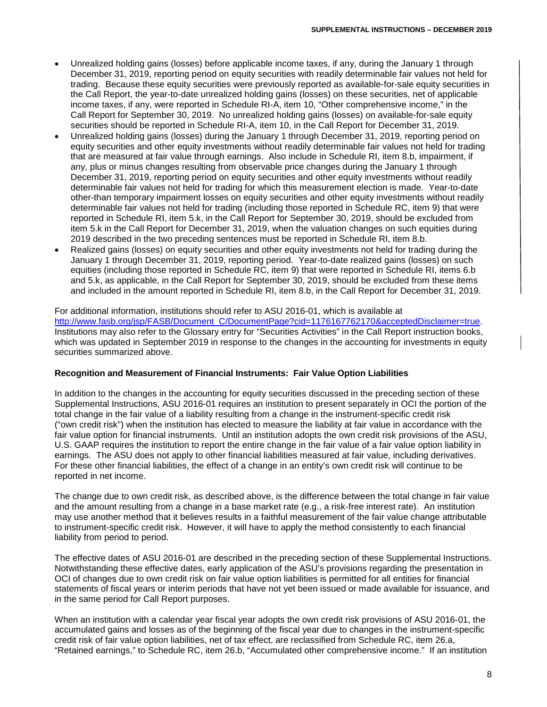- Unrealized holding gains (losses) before applicable income taxes, if any, during the January 1 through December 31, 2019, reporting period on equity securities with readily determinable fair values not held for trading. Because these equity securities were previously reported as available-for-sale equity securities in the Call Report, the year-to-date unrealized holding gains (losses) on these securities, net of applicable income taxes, if any, were reported in Schedule RI-A, item 10, "Other comprehensive income," in the Call Report for September 30, 2019. No unrealized holding gains (losses) on available-for-sale equity securities should be reported in Schedule RI-A, item 10, in the Call Report for December 31, 2019.
- Unrealized holding gains (losses) during the January 1 through December 31, 2019, reporting period on equity securities and other equity investments without readily determinable fair values not held for trading that are measured at fair value through earnings. Also include in Schedule RI, item 8.b, impairment, if any, plus or minus changes resulting from observable price changes during the January 1 through December 31, 2019, reporting period on equity securities and other equity investments without readily determinable fair values not held for trading for which this measurement election is made. Year-to-date other-than temporary impairment losses on equity securities and other equity investments without readily determinable fair values not held for trading (including those reported in Schedule RC, item 9) that were reported in Schedule RI, item 5.k, in the Call Report for September 30, 2019, should be excluded from item 5.k in the Call Report for December 31, 2019, when the valuation changes on such equities during 2019 described in the two preceding sentences must be reported in Schedule RI, item 8.b.
- Realized gains (losses) on equity securities and other equity investments not held for trading during the January 1 through December 31, 2019, reporting period. Year-to-date realized gains (losses) on such equities (including those reported in Schedule RC, item 9) that were reported in Schedule RI, items 6.b and 5.k, as applicable, in the Call Report for September 30, 2019, should be excluded from these items and included in the amount reported in Schedule RI, item 8.b, in the Call Report for December 31, 2019.

For additional information, institutions should refer to ASU 2016-01, which is available at [http://www.fasb.org/jsp/FASB/Document\\_C/DocumentPage?cid=1176167762170&acceptedDisclaimer=true.](http://www.fasb.org/jsp/FASB/Document_C/DocumentPage?cid=1176167762170&acceptedDisclaimer=true) Institutions may also refer to the Glossary entry for "Securities Activities" in the Call Report instruction books, which was updated in September 2019 in response to the changes in the accounting for investments in equity securities summarized above.

# **Recognition and Measurement of Financial Instruments: Fair Value Option Liabilities**

In addition to the changes in the accounting for equity securities discussed in the preceding section of these Supplemental Instructions, ASU 2016-01 requires an institution to present separately in OCI the portion of the total change in the fair value of a liability resulting from a change in the instrument-specific credit risk ("own credit risk") when the institution has elected to measure the liability at fair value in accordance with the fair value option for financial instruments. Until an institution adopts the own credit risk provisions of the ASU, U.S. GAAP requires the institution to report the entire change in the fair value of a fair value option liability in earnings. The ASU does not apply to other financial liabilities measured at fair value, including derivatives. For these other financial liabilities, the effect of a change in an entity's own credit risk will continue to be reported in net income.

The change due to own credit risk, as described above, is the difference between the total change in fair value and the amount resulting from a change in a base market rate (e.g., a risk-free interest rate). An institution may use another method that it believes results in a faithful measurement of the fair value change attributable to instrument-specific credit risk. However, it will have to apply the method consistently to each financial liability from period to period.

The effective dates of ASU 2016-01 are described in the preceding section of these Supplemental Instructions. Notwithstanding these effective dates, early application of the ASU's provisions regarding the presentation in OCI of changes due to own credit risk on fair value option liabilities is permitted for all entities for financial statements of fiscal years or interim periods that have not yet been issued or made available for issuance, and in the same period for Call Report purposes.

When an institution with a calendar year fiscal year adopts the own credit risk provisions of ASU 2016-01, the accumulated gains and losses as of the beginning of the fiscal year due to changes in the instrument-specific credit risk of fair value option liabilities, net of tax effect, are reclassified from Schedule RC, item 26.a, "Retained earnings," to Schedule RC, item 26.b, "Accumulated other comprehensive income." If an institution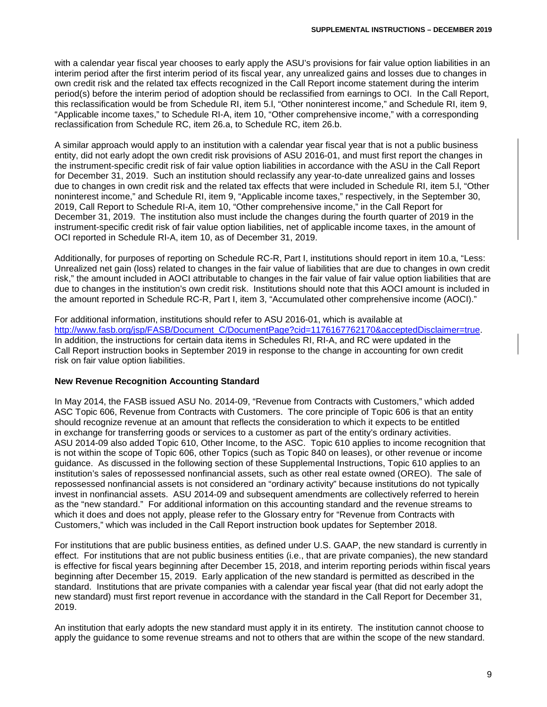with a calendar year fiscal year chooses to early apply the ASU's provisions for fair value option liabilities in an interim period after the first interim period of its fiscal year, any unrealized gains and losses due to changes in own credit risk and the related tax effects recognized in the Call Report income statement during the interim period(s) before the interim period of adoption should be reclassified from earnings to OCI. In the Call Report, this reclassification would be from Schedule RI, item 5.l, "Other noninterest income," and Schedule RI, item 9, "Applicable income taxes," to Schedule RI-A, item 10, "Other comprehensive income," with a corresponding reclassification from Schedule RC, item 26.a, to Schedule RC, item 26.b.

A similar approach would apply to an institution with a calendar year fiscal year that is not a public business entity, did not early adopt the own credit risk provisions of ASU 2016-01, and must first report the changes in the instrument-specific credit risk of fair value option liabilities in accordance with the ASU in the Call Report for December 31, 2019. Such an institution should reclassify any year-to-date unrealized gains and losses due to changes in own credit risk and the related tax effects that were included in Schedule RI, item 5.l, "Other noninterest income," and Schedule RI, item 9, "Applicable income taxes," respectively, in the September 30, 2019, Call Report to Schedule RI-A, item 10, "Other comprehensive income," in the Call Report for December 31, 2019. The institution also must include the changes during the fourth quarter of 2019 in the instrument-specific credit risk of fair value option liabilities, net of applicable income taxes, in the amount of OCI reported in Schedule RI-A, item 10, as of December 31, 2019.

Additionally, for purposes of reporting on Schedule RC-R, Part I, institutions should report in item 10.a, "Less: Unrealized net gain (loss) related to changes in the fair value of liabilities that are due to changes in own credit risk," the amount included in AOCI attributable to changes in the fair value of fair value option liabilities that are due to changes in the institution's own credit risk. Institutions should note that this AOCI amount is included in the amount reported in Schedule RC-R, Part I, item 3, "Accumulated other comprehensive income (AOCI)."

For additional information, institutions should refer to ASU 2016-01, which is available at [http://www.fasb.org/jsp/FASB/Document\\_C/DocumentPage?cid=1176167762170&acceptedDisclaimer=true.](http://www.fasb.org/jsp/FASB/Document_C/DocumentPage?cid=1176167762170&acceptedDisclaimer=true) In addition, the instructions for certain data items in Schedules RI, RI-A, and RC were updated in the Call Report instruction books in September 2019 in response to the change in accounting for own credit risk on fair value option liabilities.

## **New Revenue Recognition Accounting Standard**

In May 2014, the FASB issued ASU No. 2014-09, "Revenue from Contracts with Customers," which added ASC Topic 606, Revenue from Contracts with Customers. The core principle of Topic 606 is that an entity should recognize revenue at an amount that reflects the consideration to which it expects to be entitled in exchange for transferring goods or services to a customer as part of the entity's ordinary activities. ASU 2014-09 also added Topic 610, Other Income, to the ASC. Topic 610 applies to income recognition that is not within the scope of Topic 606, other Topics (such as Topic 840 on leases), or other revenue or income guidance. As discussed in the following section of these Supplemental Instructions, Topic 610 applies to an institution's sales of repossessed nonfinancial assets, such as other real estate owned (OREO). The sale of repossessed nonfinancial assets is not considered an "ordinary activity" because institutions do not typically invest in nonfinancial assets. ASU 2014-09 and subsequent amendments are collectively referred to herein as the "new standard." For additional information on this accounting standard and the revenue streams to which it does and does not apply, please refer to the Glossary entry for "Revenue from Contracts with Customers," which was included in the Call Report instruction book updates for September 2018.

For institutions that are public business entities, as defined under U.S. GAAP, the new standard is currently in effect. For institutions that are not public business entities (i.e., that are private companies), the new standard is effective for fiscal years beginning after December 15, 2018, and interim reporting periods within fiscal years beginning after December 15, 2019. Early application of the new standard is permitted as described in the standard. Institutions that are private companies with a calendar year fiscal year (that did not early adopt the new standard) must first report revenue in accordance with the standard in the Call Report for December 31, 2019.

An institution that early adopts the new standard must apply it in its entirety. The institution cannot choose to apply the guidance to some revenue streams and not to others that are within the scope of the new standard.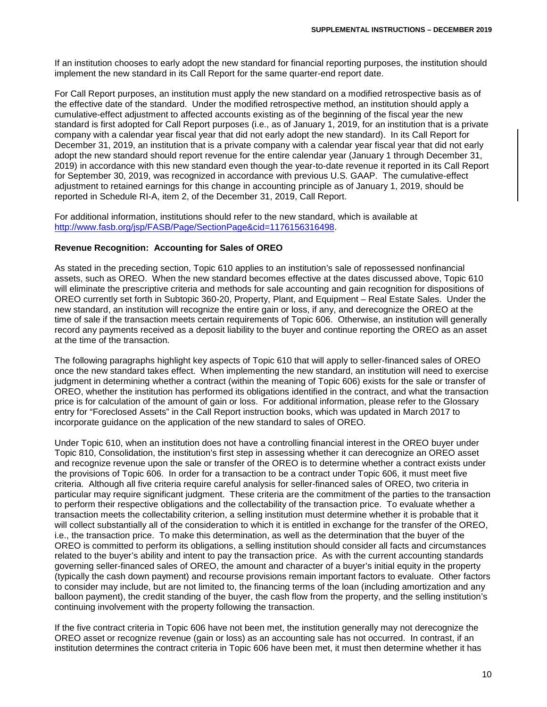If an institution chooses to early adopt the new standard for financial reporting purposes, the institution should implement the new standard in its Call Report for the same quarter-end report date.

For Call Report purposes, an institution must apply the new standard on a modified retrospective basis as of the effective date of the standard. Under the modified retrospective method, an institution should apply a cumulative-effect adjustment to affected accounts existing as of the beginning of the fiscal year the new standard is first adopted for Call Report purposes (i.e., as of January 1, 2019, for an institution that is a private company with a calendar year fiscal year that did not early adopt the new standard). In its Call Report for December 31, 2019, an institution that is a private company with a calendar year fiscal year that did not early adopt the new standard should report revenue for the entire calendar year (January 1 through December 31, 2019) in accordance with this new standard even though the year-to-date revenue it reported in its Call Report for September 30, 2019, was recognized in accordance with previous U.S. GAAP. The cumulative-effect adjustment to retained earnings for this change in accounting principle as of January 1, 2019, should be reported in Schedule RI-A, item 2, of the December 31, 2019, Call Report.

For additional information, institutions should refer to the new standard, which is available at [http://www.fasb.org/jsp/FASB/Page/SectionPage&cid=1176156316498.](http://www.fasb.org/jsp/FASB/Page/SectionPage&cid=1176156316498)

#### **Revenue Recognition: Accounting for Sales of OREO**

As stated in the preceding section, Topic 610 applies to an institution's sale of repossessed nonfinancial assets, such as OREO. When the new standard becomes effective at the dates discussed above, Topic 610 will eliminate the prescriptive criteria and methods for sale accounting and gain recognition for dispositions of OREO currently set forth in Subtopic 360-20, Property, Plant, and Equipment – Real Estate Sales. Under the new standard, an institution will recognize the entire gain or loss, if any, and derecognize the OREO at the time of sale if the transaction meets certain requirements of Topic 606. Otherwise, an institution will generally record any payments received as a deposit liability to the buyer and continue reporting the OREO as an asset at the time of the transaction.

The following paragraphs highlight key aspects of Topic 610 that will apply to seller-financed sales of OREO once the new standard takes effect. When implementing the new standard, an institution will need to exercise judgment in determining whether a contract (within the meaning of Topic 606) exists for the sale or transfer of OREO, whether the institution has performed its obligations identified in the contract, and what the transaction price is for calculation of the amount of gain or loss. For additional information, please refer to the Glossary entry for "Foreclosed Assets" in the Call Report instruction books, which was updated in March 2017 to incorporate guidance on the application of the new standard to sales of OREO.

Under Topic 610, when an institution does not have a controlling financial interest in the OREO buyer under Topic 810, Consolidation, the institution's first step in assessing whether it can derecognize an OREO asset and recognize revenue upon the sale or transfer of the OREO is to determine whether a contract exists under the provisions of Topic 606. In order for a transaction to be a contract under Topic 606, it must meet five criteria. Although all five criteria require careful analysis for seller-financed sales of OREO, two criteria in particular may require significant judgment. These criteria are the commitment of the parties to the transaction to perform their respective obligations and the collectability of the transaction price. To evaluate whether a transaction meets the collectability criterion, a selling institution must determine whether it is probable that it will collect substantially all of the consideration to which it is entitled in exchange for the transfer of the OREO, i.e., the transaction price. To make this determination, as well as the determination that the buyer of the OREO is committed to perform its obligations, a selling institution should consider all facts and circumstances related to the buyer's ability and intent to pay the transaction price. As with the current accounting standards governing seller-financed sales of OREO, the amount and character of a buyer's initial equity in the property (typically the cash down payment) and recourse provisions remain important factors to evaluate. Other factors to consider may include, but are not limited to, the financing terms of the loan (including amortization and any balloon payment), the credit standing of the buyer, the cash flow from the property, and the selling institution's continuing involvement with the property following the transaction.

If the five contract criteria in Topic 606 have not been met, the institution generally may not derecognize the OREO asset or recognize revenue (gain or loss) as an accounting sale has not occurred. In contrast, if an institution determines the contract criteria in Topic 606 have been met, it must then determine whether it has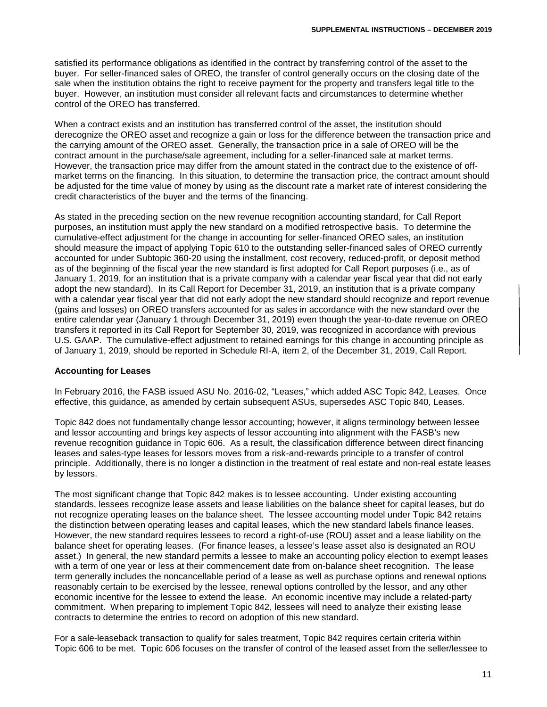satisfied its performance obligations as identified in the contract by transferring control of the asset to the buyer. For seller-financed sales of OREO, the transfer of control generally occurs on the closing date of the sale when the institution obtains the right to receive payment for the property and transfers legal title to the buyer. However, an institution must consider all relevant facts and circumstances to determine whether control of the OREO has transferred.

When a contract exists and an institution has transferred control of the asset, the institution should derecognize the OREO asset and recognize a gain or loss for the difference between the transaction price and the carrying amount of the OREO asset. Generally, the transaction price in a sale of OREO will be the contract amount in the purchase/sale agreement, including for a seller-financed sale at market terms. However, the transaction price may differ from the amount stated in the contract due to the existence of offmarket terms on the financing. In this situation, to determine the transaction price, the contract amount should be adjusted for the time value of money by using as the discount rate a market rate of interest considering the credit characteristics of the buyer and the terms of the financing.

As stated in the preceding section on the new revenue recognition accounting standard, for Call Report purposes, an institution must apply the new standard on a modified retrospective basis. To determine the cumulative-effect adjustment for the change in accounting for seller-financed OREO sales, an institution should measure the impact of applying Topic 610 to the outstanding seller-financed sales of OREO currently accounted for under Subtopic 360-20 using the installment, cost recovery, reduced-profit, or deposit method as of the beginning of the fiscal year the new standard is first adopted for Call Report purposes (i.e., as of January 1, 2019, for an institution that is a private company with a calendar year fiscal year that did not early adopt the new standard). In its Call Report for December 31, 2019, an institution that is a private company with a calendar year fiscal year that did not early adopt the new standard should recognize and report revenue (gains and losses) on OREO transfers accounted for as sales in accordance with the new standard over the entire calendar year (January 1 through December 31, 2019) even though the year-to-date revenue on OREO transfers it reported in its Call Report for September 30, 2019, was recognized in accordance with previous U.S. GAAP. The cumulative-effect adjustment to retained earnings for this change in accounting principle as of January 1, 2019, should be reported in Schedule RI-A, item 2, of the December 31, 2019, Call Report.

## **Accounting for Leases**

In February 2016, the FASB issued ASU No. 2016-02, "Leases," which added ASC Topic 842, Leases. Once effective, this guidance, as amended by certain subsequent ASUs, supersedes ASC Topic 840, Leases.

Topic 842 does not fundamentally change lessor accounting; however, it aligns terminology between lessee and lessor accounting and brings key aspects of lessor accounting into alignment with the FASB's new revenue recognition guidance in Topic 606. As a result, the classification difference between direct financing leases and sales-type leases for lessors moves from a risk-and-rewards principle to a transfer of control principle. Additionally, there is no longer a distinction in the treatment of real estate and non-real estate leases by lessors.

The most significant change that Topic 842 makes is to lessee accounting. Under existing accounting standards, lessees recognize lease assets and lease liabilities on the balance sheet for capital leases, but do not recognize operating leases on the balance sheet. The lessee accounting model under Topic 842 retains the distinction between operating leases and capital leases, which the new standard labels finance leases. However, the new standard requires lessees to record a right-of-use (ROU) asset and a lease liability on the balance sheet for operating leases. (For finance leases, a lessee's lease asset also is designated an ROU asset.) In general, the new standard permits a lessee to make an accounting policy election to exempt leases with a term of one year or less at their commencement date from on-balance sheet recognition. The lease term generally includes the noncancellable period of a lease as well as purchase options and renewal options reasonably certain to be exercised by the lessee, renewal options controlled by the lessor, and any other economic incentive for the lessee to extend the lease. An economic incentive may include a related-party commitment. When preparing to implement Topic 842, lessees will need to analyze their existing lease contracts to determine the entries to record on adoption of this new standard.

For a sale-leaseback transaction to qualify for sales treatment, Topic 842 requires certain criteria within Topic 606 to be met. Topic 606 focuses on the transfer of control of the leased asset from the seller/lessee to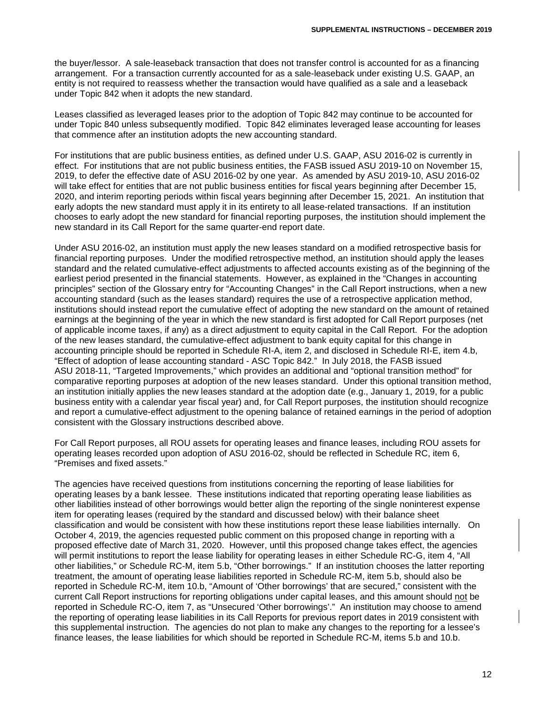the buyer/lessor. A sale-leaseback transaction that does not transfer control is accounted for as a financing arrangement. For a transaction currently accounted for as a sale-leaseback under existing U.S. GAAP, an entity is not required to reassess whether the transaction would have qualified as a sale and a leaseback under Topic 842 when it adopts the new standard.

Leases classified as leveraged leases prior to the adoption of Topic 842 may continue to be accounted for under Topic 840 unless subsequently modified. Topic 842 eliminates leveraged lease accounting for leases that commence after an institution adopts the new accounting standard.

For institutions that are public business entities, as defined under U.S. GAAP, ASU 2016-02 is currently in effect. For institutions that are not public business entities, the FASB issued ASU 2019-10 on November 15, 2019, to defer the effective date of ASU 2016-02 by one year. As amended by ASU 2019-10, ASU 2016-02 will take effect for entities that are not public business entities for fiscal years beginning after December 15, 2020, and interim reporting periods within fiscal years beginning after December 15, 2021. An institution that early adopts the new standard must apply it in its entirety to all lease-related transactions. If an institution chooses to early adopt the new standard for financial reporting purposes, the institution should implement the new standard in its Call Report for the same quarter-end report date.

Under ASU 2016-02, an institution must apply the new leases standard on a modified retrospective basis for financial reporting purposes. Under the modified retrospective method, an institution should apply the leases standard and the related cumulative-effect adjustments to affected accounts existing as of the beginning of the earliest period presented in the financial statements. However, as explained in the "Changes in accounting principles" section of the Glossary entry for "Accounting Changes" in the Call Report instructions, when a new accounting standard (such as the leases standard) requires the use of a retrospective application method, institutions should instead report the cumulative effect of adopting the new standard on the amount of retained earnings at the beginning of the year in which the new standard is first adopted for Call Report purposes (net of applicable income taxes, if any) as a direct adjustment to equity capital in the Call Report. For the adoption of the new leases standard, the cumulative-effect adjustment to bank equity capital for this change in accounting principle should be reported in Schedule RI-A, item 2, and disclosed in Schedule RI-E, item 4.b, "Effect of adoption of lease accounting standard - ASC Topic 842." In July 2018, the FASB issued ASU 2018-11, "Targeted Improvements," which provides an additional and "optional transition method" for comparative reporting purposes at adoption of the new leases standard. Under this optional transition method, an institution initially applies the new leases standard at the adoption date (e.g., January 1, 2019, for a public business entity with a calendar year fiscal year) and, for Call Report purposes, the institution should recognize and report a cumulative-effect adjustment to the opening balance of retained earnings in the period of adoption consistent with the Glossary instructions described above.

For Call Report purposes, all ROU assets for operating leases and finance leases, including ROU assets for operating leases recorded upon adoption of ASU 2016-02, should be reflected in Schedule RC, item 6, "Premises and fixed assets."

The agencies have received questions from institutions concerning the reporting of lease liabilities for operating leases by a bank lessee. These institutions indicated that reporting operating lease liabilities as other liabilities instead of other borrowings would better align the reporting of the single noninterest expense item for operating leases (required by the standard and discussed below) with their balance sheet classification and would be consistent with how these institutions report these lease liabilities internally. On October 4, 2019, the agencies requested public comment on this proposed change in reporting with a proposed effective date of March 31, 2020. However, until this proposed change takes effect, the agencies will permit institutions to report the lease liability for operating leases in either Schedule RC-G, item 4, "All other liabilities," or Schedule RC-M, item 5.b, "Other borrowings." If an institution chooses the latter reporting treatment, the amount of operating lease liabilities reported in Schedule RC-M, item 5.b, should also be reported in Schedule RC-M, item 10.b, "Amount of 'Other borrowings' that are secured," consistent with the current Call Report instructions for reporting obligations under capital leases, and this amount should not be reported in Schedule RC-O, item 7, as "Unsecured 'Other borrowings'." An institution may choose to amend the reporting of operating lease liabilities in its Call Reports for previous report dates in 2019 consistent with this supplemental instruction. The agencies do not plan to make any changes to the reporting for a lessee's finance leases, the lease liabilities for which should be reported in Schedule RC-M, items 5.b and 10.b.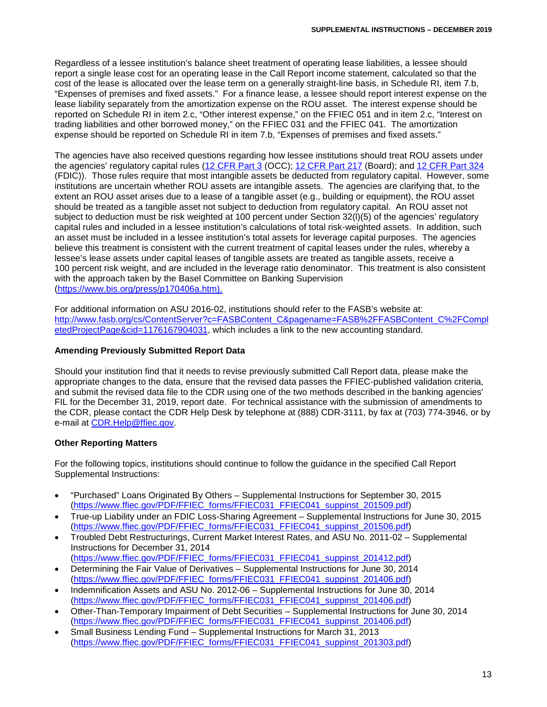Regardless of a lessee institution's balance sheet treatment of operating lease liabilities, a lessee should report a single lease cost for an operating lease in the Call Report income statement, calculated so that the cost of the lease is allocated over the lease term on a generally straight-line basis, in Schedule RI, item 7.b, "Expenses of premises and fixed assets." For a finance lease, a lessee should report interest expense on the lease liability separately from the amortization expense on the ROU asset. The interest expense should be reported on Schedule RI in item 2.c, "Other interest expense," on the FFIEC 051 and in item 2.c, "Interest on trading liabilities and other borrowed money," on the FFIEC 031 and the FFIEC 041. The amortization expense should be reported on Schedule RI in item 7.b, "Expenses of premises and fixed assets."

The agencies have also received questions regarding how lessee institutions should treat ROU assets under the agencies' regulatory capital rules [\(12 CFR Part 3](https://www.ecfr.gov/cgi-bin/text-idx?SID=6a4386753d17214d1170526af6423e67&mc=true&node=pt12.1.3&rgn=div5) (OCC); [12 CFR Part 217](https://www.ecfr.gov/cgi-bin/text-idx?SID=6a4386753d17214d1170526af6423e67&mc=true&node=pt12.2.217&rgn=div5) (Board); and [12 CFR Part 324](https://www.ecfr.gov/cgi-bin/text-idx?SID=6a4386753d17214d1170526af6423e67&mc=true&node=pt12.5.324&rgn=div5) (FDIC)). Those rules require that most intangible assets be deducted from regulatory capital. However, some institutions are uncertain whether ROU assets are intangible assets. The agencies are clarifying that, to the extent an ROU asset arises due to a lease of a tangible asset (e.g., building or equipment), the ROU asset should be treated as a tangible asset not subject to deduction from regulatory capital. An ROU asset not subject to deduction must be risk weighted at 100 percent under Section 32(l)(5) of the agencies' regulatory capital rules and included in a lessee institution's calculations of total risk-weighted assets. In addition, such an asset must be included in a lessee institution's total assets for leverage capital purposes. The agencies believe this treatment is consistent with the current treatment of capital leases under the rules, whereby a lessee's lease assets under capital leases of tangible assets are treated as tangible assets, receive a 100 percent risk weight, and are included in the leverage ratio denominator. This treatment is also consistent with the approach taken by the Basel Committee on Banking Supervision [\(https://www.bis.org/press/p170406a.htm\)](https://www.bis.org/press/p170406a.htm).

For additional information on ASU 2016-02, institutions should refer to the FASB's website at: [http://www.fasb.org/cs/ContentServer?c=FASBContent\\_C&pagename=FASB%2FFASBContent\\_C%2FCompl](http://www.fasb.org/cs/ContentServer?c=FASBContent_C&pagename=FASB%2FFASBContent_C%2FCompletedProjectPage&cid=1176167904031) [etedProjectPage&cid=1176167904031,](http://www.fasb.org/cs/ContentServer?c=FASBContent_C&pagename=FASB%2FFASBContent_C%2FCompletedProjectPage&cid=1176167904031) which includes a link to the new accounting standard.

# **Amending Previously Submitted Report Data**

Should your institution find that it needs to revise previously submitted Call Report data, please make the appropriate changes to the data, ensure that the revised data passes the FFIEC-published validation criteria, and submit the revised data file to the CDR using one of the two methods described in the banking agencies' FIL for the December 31, 2019, report date. For technical assistance with the submission of amendments to the CDR, please contact the CDR Help Desk by telephone at (888) CDR-3111, by fax at (703) 774-3946, or by e-mail at [CDR.Help@ffiec.gov.](mailto:CDR.Help@ffiec.gov)

## **Other Reporting Matters**

For the following topics, institutions should continue to follow the guidance in the specified Call Report Supplemental Instructions:

- "Purchased" Loans Originated By Others Supplemental Instructions for September 30, 2015 [\(https://www.ffiec.gov/PDF/FFIEC\\_forms/FFIEC031\\_FFIEC041\\_suppinst\\_201509.pdf\)](https://www.ffiec.gov/PDF/FFIEC_forms/FFIEC031_FFIEC041_suppinst_201509.pdf)
- True-up Liability under an FDIC Loss-Sharing Agreement Supplemental Instructions for June 30, 2015 [\(https://www.ffiec.gov/PDF/FFIEC\\_forms/FFIEC031\\_FFIEC041\\_suppinst\\_201506.pdf\)](https://www.ffiec.gov/PDF/FFIEC_forms/FFIEC031_FFIEC041_suppinst_201506.pdf)
- Troubled Debt Restructurings, Current Market Interest Rates, and ASU No. 2011-02 Supplemental Instructions for December 31, 2014
- [\(https://www.ffiec.gov/PDF/FFIEC\\_forms/FFIEC031\\_FFIEC041\\_suppinst\\_201412.pdf\)](https://www.ffiec.gov/PDF/FFIEC_forms/FFIEC031_FFIEC041_suppinst_201412.pdf)
- Determining the Fair Value of Derivatives Supplemental Instructions for June 30, 2014 [\(https://www.ffiec.gov/PDF/FFIEC\\_forms/FFIEC031\\_FFIEC041\\_suppinst\\_201406.pdf\)](https://www.ffiec.gov/PDF/FFIEC_forms/FFIEC031_FFIEC041_suppinst_201406.pdf)
- Indemnification Assets and ASU No. 2012-06 Supplemental Instructions for June 30, 2014 [\(https://www.ffiec.gov/PDF/FFIEC\\_forms/FFIEC031\\_FFIEC041\\_suppinst\\_201406.pdf\)](https://www.ffiec.gov/PDF/FFIEC_forms/FFIEC031_FFIEC041_suppinst_201406.pdf)
- Other-Than-Temporary Impairment of Debt Securities Supplemental Instructions for June 30, 2014 [\(https://www.ffiec.gov/PDF/FFIEC\\_forms/FFIEC031\\_FFIEC041\\_suppinst\\_201406.pdf\)](https://www.ffiec.gov/PDF/FFIEC_forms/FFIEC031_FFIEC041_suppinst_201406.pdf)
- Small Business Lending Fund Supplemental Instructions for March 31, 2013 [\(https://www.ffiec.gov/PDF/FFIEC\\_forms/FFIEC031\\_FFIEC041\\_suppinst\\_201303.pdf\)](https://www.ffiec.gov/PDF/FFIEC_forms/FFIEC031_FFIEC041_suppinst_201303.pdf)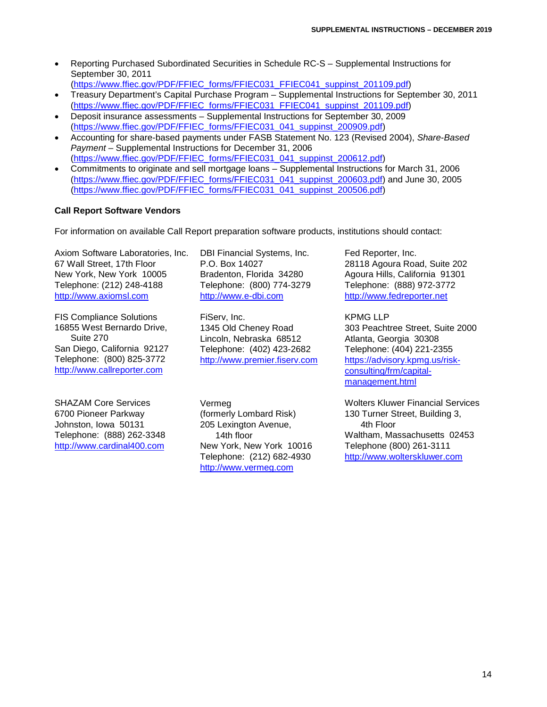• Reporting Purchased Subordinated Securities in Schedule RC-S – Supplemental Instructions for September 30, 2011

[\(https://www.ffiec.gov/PDF/FFIEC\\_forms/FFIEC031\\_FFIEC041\\_suppinst\\_201109.pdf\)](https://www.ffiec.gov/PDF/FFIEC_forms/FFIEC031_FFIEC041_suppinst_201109.pdf)

- Treasury Department's Capital Purchase Program Supplemental Instructions for September 30, 2011 [\(https://www.ffiec.gov/PDF/FFIEC\\_forms/FFIEC031\\_FFIEC041\\_suppinst\\_201109.pdf\)](https://www.ffiec.gov/PDF/FFIEC_forms/FFIEC031_FFIEC041_suppinst_201109.pdf)
- Deposit insurance assessments Supplemental Instructions for September 30, 2009 [\(https://www.ffiec.gov/PDF/FFIEC\\_forms/FFIEC031\\_041\\_suppinst\\_200909.pdf\)](https://www.ffiec.gov/PDF/FFIEC_forms/FFIEC031_041_suppinst_200909.pdf)
- Accounting for share-based payments under FASB Statement No. 123 (Revised 2004), *Share-Based Payment* – Supplemental Instructions for December 31, 2006 [\(https://www.ffiec.gov/PDF/FFIEC\\_forms/FFIEC031\\_041\\_suppinst\\_200612.pdf\)](https://www.ffiec.gov/PDF/FFIEC_forms/FFIEC031_041_suppinst_200612.pdf)
- Commitments to originate and sell mortgage loans Supplemental Instructions for March 31, 2006 [\(https://www.ffiec.gov/PDF/FFIEC\\_forms/FFIEC031\\_041\\_suppinst\\_200603.pdf\)](https://www.ffiec.gov/PDF/FFIEC_forms/FFIEC031_041_suppinst_200603.pdf) and June 30, 2005 [\(https://www.ffiec.gov/PDF/FFIEC\\_forms/FFIEC031\\_041\\_suppinst\\_200506.pdf\)](https://www.ffiec.gov/PDF/FFIEC_forms/FFIEC031_041_suppinst_200506.pdf)

# **Call Report Software Vendors**

For information on available Call Report preparation software products, institutions should contact:

Axiom Software Laboratories, Inc. 67 Wall Street, 17th Floor New York, New York 10005 Telephone: (212) 248-4188 [http://www.axiomsl.com](http://www.axiomsl.com/)

FIS Compliance Solutions 16855 West Bernardo Drive, Suite 270 San Diego, California 92127 Telephone: (800) 825-3772 [http://www.callreporter.com](http://www.callreporter.com/)

SHAZAM Core Services 6700 Pioneer Parkway Johnston, Iowa 50131 Telephone: (888) 262-3348 [http://www.cardinal400.com](http://www.cardinal400.com/)

DBI Financial Systems, Inc. P.O. Box 14027 Bradenton, Florida 34280 Telephone: (800) 774-3279 [http://www.e-dbi.com](http://www.e-dbi.com/)

FiServ, Inc. 1345 Old Cheney Road Lincoln, Nebraska 68512 Telephone: (402) 423-2682 [http://www.premier.fiserv.com](http://www.premier.fiserv.com/)

205 Lexington Avenue, 14th floor

[http://www.vermeg.com](http://www.vermeg.com/)

Vermeg

Fed Reporter, Inc. 28118 Agoura Road, Suite 202 Agoura Hills, California 91301 Telephone: (888) 972-3772 [http://www.fedreporter.net](http://www.fedreporter.net/)

KPMG LLP 303 Peachtree Street, Suite 2000 Atlanta, Georgia 30308 Telephone: (404) 221-2355 [https://advisory.kpmg.us/risk](https://advisory.kpmg.us/risk-consulting/frm/capital-management.html)[consulting/frm/capital](https://advisory.kpmg.us/risk-consulting/frm/capital-management.html)[management.html](https://advisory.kpmg.us/risk-consulting/frm/capital-management.html)

Wolters Kluwer Financial Services 130 Turner Street, Building 3, 4th Floor Waltham, Massachusetts 02453 Telephone (800) 261-3111 [http://www.wolterskluwer.com](http://www.wolterskluwer.com/)

(formerly Lombard Risk) New York, New York 10016 Telephone: (212) 682-4930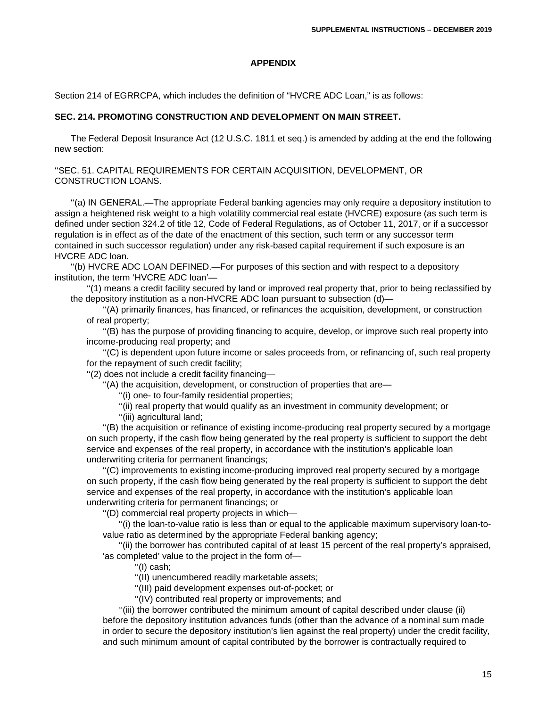#### **APPENDIX**

Section 214 of EGRRCPA, which includes the definition of "HVCRE ADC Loan," is as follows:

#### **SEC. 214. PROMOTING CONSTRUCTION AND DEVELOPMENT ON MAIN STREET.**

The Federal Deposit Insurance Act (12 U.S.C. 1811 et seq.) is amended by adding at the end the following new section:

''SEC. 51. CAPITAL REQUIREMENTS FOR CERTAIN ACQUISITION, DEVELOPMENT, OR CONSTRUCTION LOANS.

''(a) IN GENERAL.—The appropriate Federal banking agencies may only require a depository institution to assign a heightened risk weight to a high volatility commercial real estate (HVCRE) exposure (as such term is defined under section 324.2 of title 12, Code of Federal Regulations, as of October 11, 2017, or if a successor regulation is in effect as of the date of the enactment of this section, such term or any successor term contained in such successor regulation) under any risk-based capital requirement if such exposure is an HVCRE ADC loan.

''(b) HVCRE ADC LOAN DEFINED.—For purposes of this section and with respect to a depository institution, the term 'HVCRE ADC loan'—

''(1) means a credit facility secured by land or improved real property that, prior to being reclassified by the depository institution as a non-HVCRE ADC loan pursuant to subsection (d)—

''(A) primarily finances, has financed, or refinances the acquisition, development, or construction of real property;

''(B) has the purpose of providing financing to acquire, develop, or improve such real property into income-producing real property; and

''(C) is dependent upon future income or sales proceeds from, or refinancing of, such real property for the repayment of such credit facility;

''(2) does not include a credit facility financing—

''(A) the acquisition, development, or construction of properties that are—

''(i) one- to four-family residential properties;

''(ii) real property that would qualify as an investment in community development; or

''(iii) agricultural land;

''(B) the acquisition or refinance of existing income-producing real property secured by a mortgage on such property, if the cash flow being generated by the real property is sufficient to support the debt service and expenses of the real property, in accordance with the institution's applicable loan underwriting criteria for permanent financings;

''(C) improvements to existing income-producing improved real property secured by a mortgage on such property, if the cash flow being generated by the real property is sufficient to support the debt service and expenses of the real property, in accordance with the institution's applicable loan underwriting criteria for permanent financings; or

''(D) commercial real property projects in which—

''(i) the loan-to-value ratio is less than or equal to the applicable maximum supervisory loan-tovalue ratio as determined by the appropriate Federal banking agency;

''(ii) the borrower has contributed capital of at least 15 percent of the real property's appraised, 'as completed' value to the project in the form of—

''(I) cash;

''(II) unencumbered readily marketable assets;

''(III) paid development expenses out-of-pocket; or

''(IV) contributed real property or improvements; and

''(iii) the borrower contributed the minimum amount of capital described under clause (ii) before the depository institution advances funds (other than the advance of a nominal sum made in order to secure the depository institution's lien against the real property) under the credit facility, and such minimum amount of capital contributed by the borrower is contractually required to